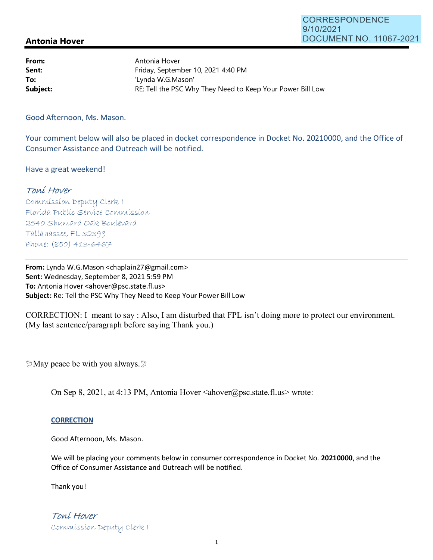## **Antonia Hover**

**From: Sent: To:**  Antonia Hover Friday, September 10, 2021 4:40 PM 'Lynda W.G.Mason' **Subject: RE:** Tell the PSC Why They Need to Keep Your Power Bill Low

Good Afternoon, Ms. Mason.

Your comment below will also be placed in docket correspondence in Docket No. 20210000, and the Office of Consumer Assistance and Outreach will be notified.

Have a great weekend!

## Toní Hover

Commission Deputy Clerk I Florída Publíc Servíce Commission 2540 Shumard Oak Boulevard  $Tallahassee, FL 32399$ *PV\oV\,e: (Si'SO)* 413-G4G7

From: Lynda W.G.Mason <chaplain27@gmail.com> **Sent:** Wednesday, September 8, 2021 5:59 PM **To:** Antonia Hover <ahover@psc.state.fl.us> **Subject:** Re: Tell the PSC Why They Need to Keep Your Power Bill Low

CORRECTION: I meant to say: Also, I am disturbed that FPL isn't doing more to protect our environment. (My last sentence/paragraph before saying Thank you.)

 $\Im$  May peace be with you always.  $\Im$ 

On Sep 8, 2021, at 4:13 PM, Antonia Hover  $\leq$  ahover  $\mathcal{O}(psc.state~f.$  us wrote:

## **CORRECTION**

Good Afternoon, Ms. Mason.

We will be placing your comments below in consumer correspondence in Docket No. **20210000,** and the Office of Consumer Assistance and Outreach will be notified.

Thank you!

Toní Hover Commission Deputy Clerk I